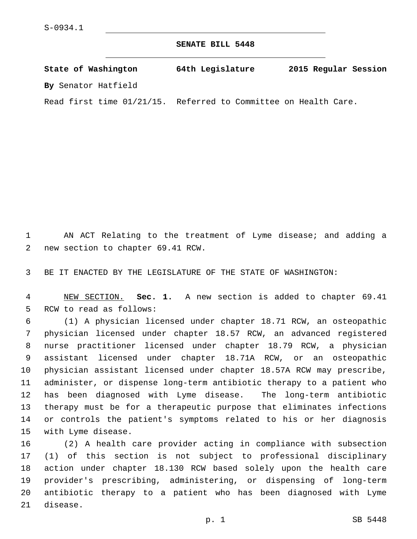**SENATE BILL 5448**

**State of Washington 64th Legislature 2015 Regular Session By** Senator Hatfield

Read first time 01/21/15. Referred to Committee on Health Care.

 AN ACT Relating to the treatment of Lyme disease; and adding a 2 new section to chapter 69.41 RCW.

BE IT ENACTED BY THE LEGISLATURE OF THE STATE OF WASHINGTON:

 NEW SECTION. **Sec. 1.** A new section is added to chapter 69.41 5 RCW to read as follows:

 (1) A physician licensed under chapter 18.71 RCW, an osteopathic physician licensed under chapter 18.57 RCW, an advanced registered nurse practitioner licensed under chapter 18.79 RCW, a physician assistant licensed under chapter 18.71A RCW, or an osteopathic physician assistant licensed under chapter 18.57A RCW may prescribe, administer, or dispense long-term antibiotic therapy to a patient who has been diagnosed with Lyme disease. The long-term antibiotic therapy must be for a therapeutic purpose that eliminates infections or controls the patient's symptoms related to his or her diagnosis 15 with Lyme disease.

 (2) A health care provider acting in compliance with subsection (1) of this section is not subject to professional disciplinary action under chapter 18.130 RCW based solely upon the health care provider's prescribing, administering, or dispensing of long-term antibiotic therapy to a patient who has been diagnosed with Lyme 21 disease.